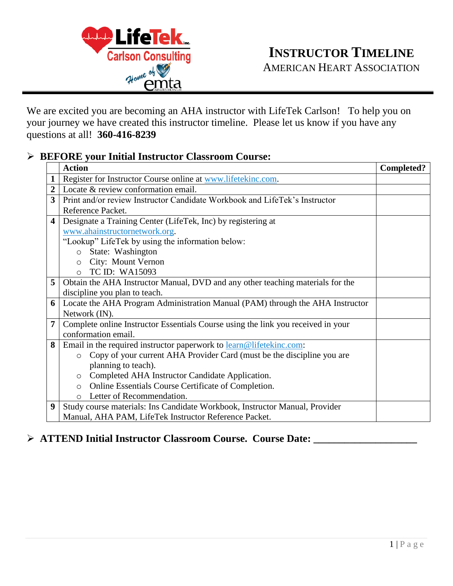

AMERICAN HEART ASSOCIATION

We are excited you are becoming an AHA instructor with LifeTek Carlson! To help you on your journey we have created this instructor timeline. Please let us know if you have any questions at all! **360-416-8239**

## ➢ **BEFORE your Initial Instructor Classroom Course:**

|                         | <b>Action</b>                                                                    | <b>Completed?</b> |
|-------------------------|----------------------------------------------------------------------------------|-------------------|
| $\mathbf 1$             | Register for Instructor Course online at www.lifetekinc.com.                     |                   |
| $\overline{2}$          | Locate & review conformation email.                                              |                   |
| $3^{\circ}$             | Print and/or review Instructor Candidate Workbook and LifeTek's Instructor       |                   |
|                         | Reference Packet.                                                                |                   |
| $\overline{\mathbf{4}}$ | Designate a Training Center (LifeTek, Inc) by registering at                     |                   |
|                         | www.ahainstructornetwork.org.                                                    |                   |
|                         | "Lookup" LifeTek by using the information below:                                 |                   |
|                         | o State: Washington                                                              |                   |
|                         | City: Mount Vernon<br>$\circ$                                                    |                   |
|                         | <b>TC ID: WA15093</b><br>$\Omega$                                                |                   |
| 5 <sup>1</sup>          | Obtain the AHA Instructor Manual, DVD and any other teaching materials for the   |                   |
|                         | discipline you plan to teach.                                                    |                   |
| 6                       | Locate the AHA Program Administration Manual (PAM) through the AHA Instructor    |                   |
|                         | Network (IN).                                                                    |                   |
| 7                       | Complete online Instructor Essentials Course using the link you received in your |                   |
|                         | conformation email.                                                              |                   |
| 8                       | Email in the required instructor paperwork to learn@lifetekinc.com:              |                   |
|                         | o Copy of your current AHA Provider Card (must be the discipline you are         |                   |
|                         | planning to teach).                                                              |                   |
|                         | Completed AHA Instructor Candidate Application.<br>$\circ$                       |                   |
|                         | Online Essentials Course Certificate of Completion.<br>$\circ$                   |                   |
|                         | o Letter of Recommendation.                                                      |                   |
| 9                       | Study course materials: Ins Candidate Workbook, Instructor Manual, Provider      |                   |
|                         | Manual, AHA PAM, LifeTek Instructor Reference Packet.                            |                   |

## ➢ **ATTEND Initial Instructor Classroom Course. Course Date: \_\_\_\_\_\_\_\_\_\_\_\_\_\_\_\_\_\_\_\_**